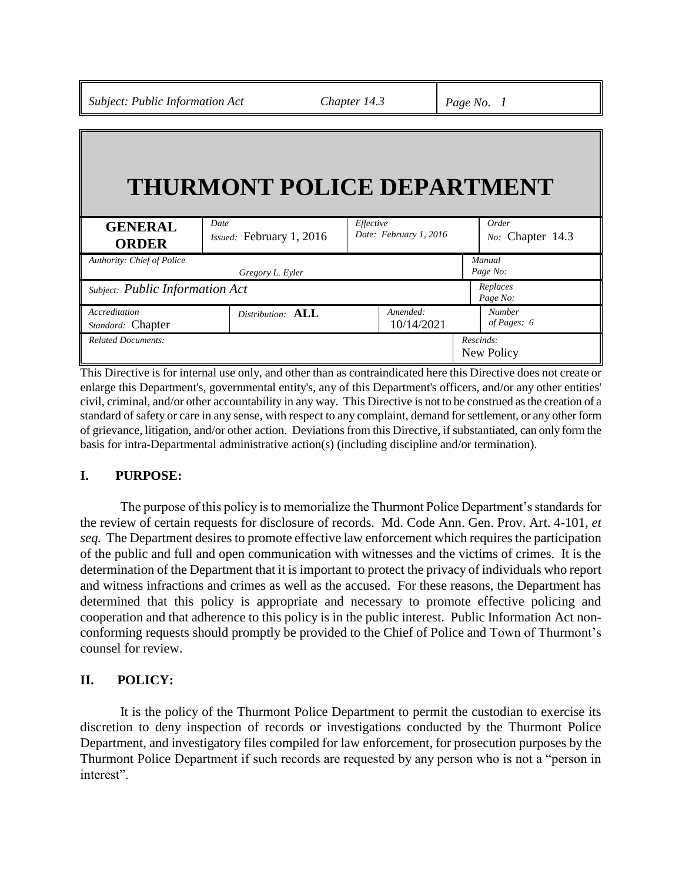*Subject: Public Information Act Chapter 14.3 Page No. 1*

# **THURMONT POLICE DEPARTMENT**

| <b>GENERAL</b><br><b>ORDER</b>     | Date<br>Issued: February 1, 2016 | Effective<br>Date: February 1, 2016 | Order<br>No: Chapter 14.3      |
|------------------------------------|----------------------------------|-------------------------------------|--------------------------------|
| Authority: Chief of Police         |                                  |                                     | Manual                         |
|                                    | Gregory L. Eyler                 |                                     | Page No:                       |
| Subject: Public Information Act    |                                  |                                     | Replaces<br>Page No:           |
| Accreditation<br>Standard: Chapter | $Distribution: \tALL$            | Amended:<br>10/14/2021              | <b>Number</b><br>of Pages: $6$ |
| <b>Related Documents:</b>          |                                  |                                     | Rescinds:<br>New Policy        |

This Directive is for internal use only, and other than as contraindicated here this Directive does not create or enlarge this Department's, governmental entity's, any of this Department's officers, and/or any other entities' civil, criminal, and/or other accountability in any way. This Directive is not to be construed as the creation of a standard of safety or care in any sense, with respect to any complaint, demand for settlement, or any other form of grievance, litigation, and/or other action. Deviations from this Directive, if substantiated, can only form the basis for intra-Departmental administrative action(s) (including discipline and/or termination).

### **I. PURPOSE:**

The purpose of this policy is to memorialize the Thurmont Police Department's standards for the review of certain requests for disclosure of records. Md. Code Ann. Gen. Prov. Art. 4-101, *et seq.* The Department desires to promote effective law enforcement which requires the participation of the public and full and open communication with witnesses and the victims of crimes. It is the determination of the Department that it is important to protect the privacy of individuals who report and witness infractions and crimes as well as the accused. For these reasons, the Department has determined that this policy is appropriate and necessary to promote effective policing and cooperation and that adherence to this policy is in the public interest. Public Information Act nonconforming requests should promptly be provided to the Chief of Police and Town of Thurmont's counsel for review.

### **II. POLICY:**

It is the policy of the Thurmont Police Department to permit the custodian to exercise its discretion to deny inspection of records or investigations conducted by the Thurmont Police Department, and investigatory files compiled for law enforcement, for prosecution purposes by the Thurmont Police Department if such records are requested by any person who is not a "person in interest".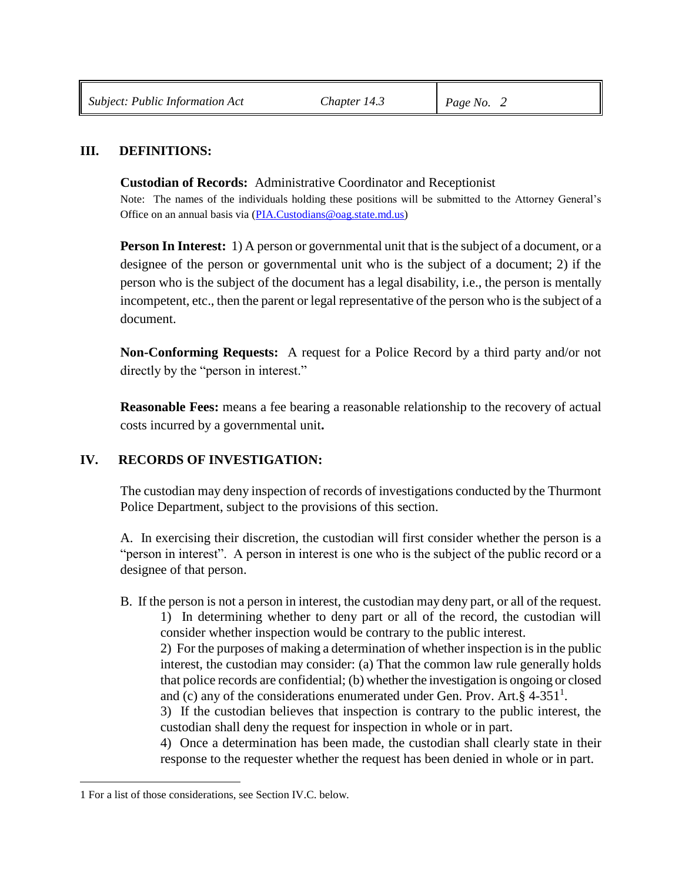## **III. DEFINITIONS:**

**Custodian of Records:** Administrative Coordinator and Receptionist

Note: The names of the individuals holding these positions will be submitted to the Attorney General's Office on an annual basis via [\(PIA.Custodians@oag.state.md.us\)](mailto:PIA.Custodians@oag.state.md.us)

**Person In Interest:** 1) A person or governmental unit that is the subject of a document, or a designee of the person or governmental unit who is the subject of a document; 2) if the person who is the subject of the document has a legal disability, i.e., the person is mentally incompetent, etc., then the parent or legal representative of the person who is the subject of a document.

**Non-Conforming Requests:** A request for a Police Record by a third party and/or not directly by the "person in interest."

**Reasonable Fees:** means a fee bearing a reasonable relationship to the recovery of actual costs incurred by a governmental unit**.**

### **IV. RECORDS OF INVESTIGATION:**

The custodian may deny inspection of records of investigations conducted by the Thurmont Police Department, subject to the provisions of this section.

A. In exercising their discretion, the custodian will first consider whether the person is a "person in interest". A person in interest is one who is the subject of the public record or a designee of that person.

B. If the person is not a person in interest, the custodian may deny part, or all of the request.

1) In determining whether to deny part or all of the record, the custodian will consider whether inspection would be contrary to the public interest.

2) For the purposes of making a determination of whether inspection is in the public interest, the custodian may consider: (a) That the common law rule generally holds that police records are confidential; (b) whether the investigation is ongoing or closed and (c) any of the considerations enumerated under Gen. Prov. Art. §  $4-351^1$ .

3) If the custodian believes that inspection is contrary to the public interest, the custodian shall deny the request for inspection in whole or in part.

4) Once a determination has been made, the custodian shall clearly state in their response to the requester whether the request has been denied in whole or in part.

i<br>H

<sup>1</sup> For a list of those considerations, see Section IV.C. below.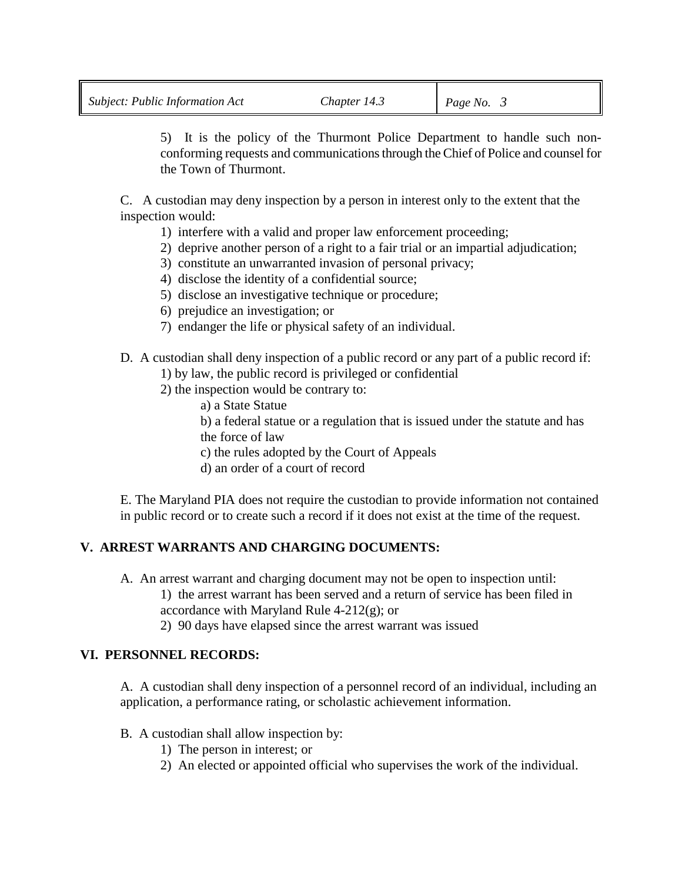5) It is the policy of the Thurmont Police Department to handle such nonconforming requests and communications through the Chief of Police and counsel for the Town of Thurmont.

C. A custodian may deny inspection by a person in interest only to the extent that the inspection would:

- 1) interfere with a valid and proper law enforcement proceeding;
- 2) deprive another person of a right to a fair trial or an impartial adjudication;
- 3) constitute an unwarranted invasion of personal privacy;
- 4) disclose the identity of a confidential source;
- 5) disclose an investigative technique or procedure;
- 6) prejudice an investigation; or
- 7) endanger the life or physical safety of an individual.
- D. A custodian shall deny inspection of a public record or any part of a public record if:
	- 1) by law, the public record is privileged or confidential
	- 2) the inspection would be contrary to:
		- a) a State Statue
		- b) a federal statue or a regulation that is issued under the statute and has the force of law
		- c) the rules adopted by the Court of Appeals
		- d) an order of a court of record

E. The Maryland PIA does not require the custodian to provide information not contained in public record or to create such a record if it does not exist at the time of the request.

### **V. ARREST WARRANTS AND CHARGING DOCUMENTS:**

- A. An arrest warrant and charging document may not be open to inspection until:
	- 1) the arrest warrant has been served and a return of service has been filed in accordance with Maryland Rule 4-212(g); or
		- 2) 90 days have elapsed since the arrest warrant was issued

#### **VI. PERSONNEL RECORDS:**

A. A custodian shall deny inspection of a personnel record of an individual, including an application, a performance rating, or scholastic achievement information.

- B. A custodian shall allow inspection by:
	- 1) The person in interest; or
	- 2) An elected or appointed official who supervises the work of the individual.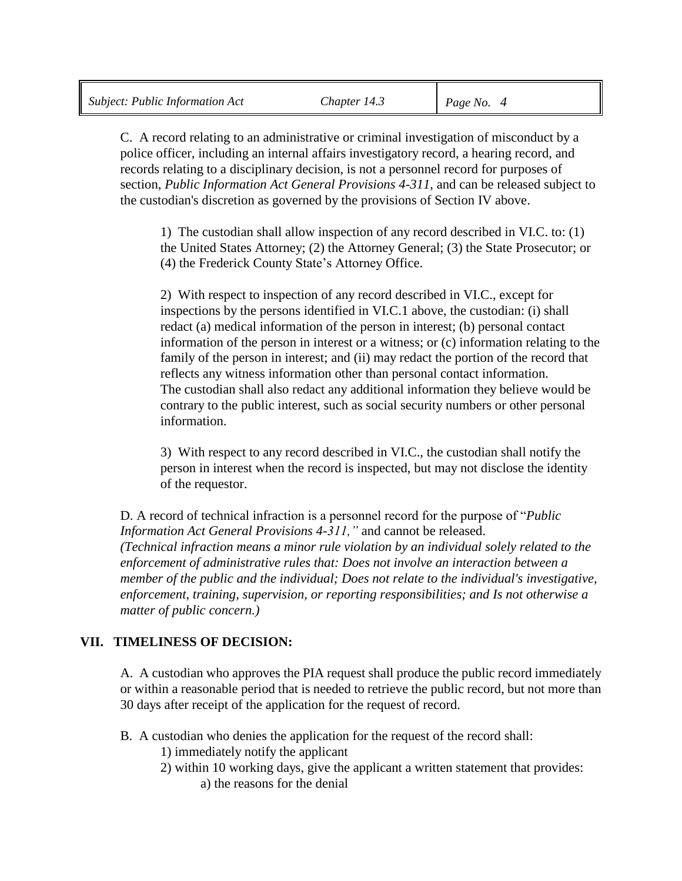| <b>Subject: Public Information Act</b> | Chapter 14.3 | <i>Page No.</i> 4 |
|----------------------------------------|--------------|-------------------|
|                                        |              |                   |

C. A record relating to an administrative or criminal investigation of misconduct by a police officer, including an internal affairs investigatory record, a hearing record, and records relating to a disciplinary decision, is not a personnel record for purposes of section, *Public Information Act General Provisions 4-311*, and can be released subject to the custodian's discretion as governed by the provisions of Section IV above.

1) The custodian shall allow inspection of any record described in VI.C. to: (1) the United States Attorney; (2) the Attorney General; (3) the State Prosecutor; or (4) the Frederick County State's Attorney Office.

2) With respect to inspection of any record described in VI.C., except for inspections by the persons identified in VI.C.1 above, the custodian: (i) shall redact (a) medical information of the person in interest; (b) personal contact information of the person in interest or a witness; or (c) information relating to the family of the person in interest; and (ii) may redact the portion of the record that reflects any witness information other than personal contact information. The custodian shall also redact any additional information they believe would be contrary to the public interest, such as social security numbers or other personal information.

3) With respect to any record described in VI.C., the custodian shall notify the person in interest when the record is inspected, but may not disclose the identity of the requestor.

D. A record of technical infraction is a personnel record for the purpose of "*Public Information Act General Provisions 4-311,"* and cannot be released. *(Technical infraction means a minor rule violation by an individual solely related to the enforcement of administrative rules that: Does not involve an interaction between a member of the public and the individual; Does not relate to the individual's investigative, enforcement, training, supervision, or reporting responsibilities; and Is not otherwise a matter of public concern.)*

#### **VII. TIMELINESS OF DECISION:**

A. A custodian who approves the PIA request shall produce the public record immediately or within a reasonable period that is needed to retrieve the public record, but not more than 30 days after receipt of the application for the request of record.

- B. A custodian who denies the application for the request of the record shall: 1) immediately notify the applicant
	- 2) within 10 working days, give the applicant a written statement that provides: a) the reasons for the denial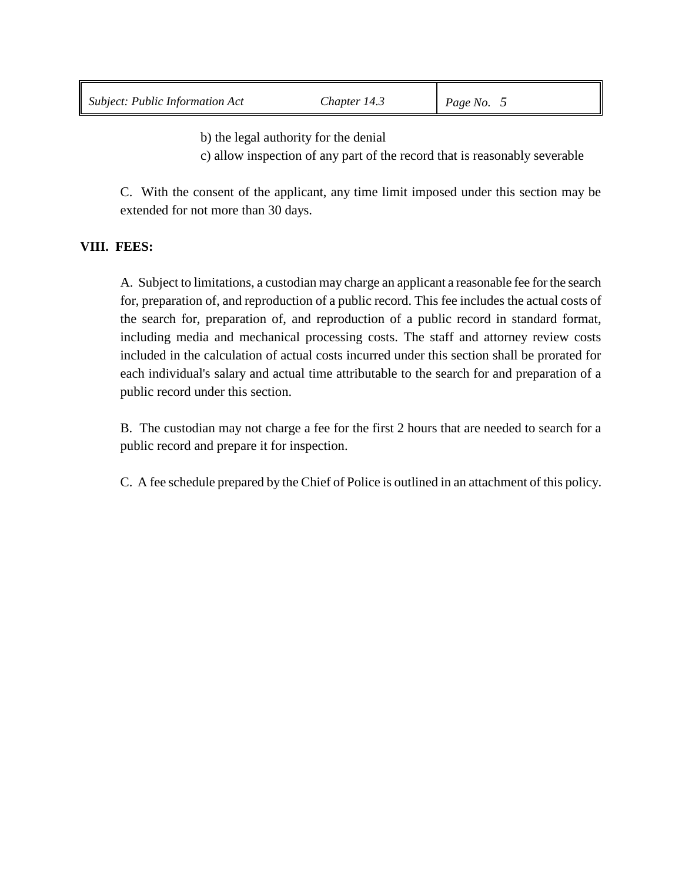|--|

b) the legal authority for the denial

c) allow inspection of any part of the record that is reasonably severable

C. With the consent of the applicant, any time limit imposed under this section may be extended for not more than 30 days.

## **VIII. FEES:**

A. Subject to limitations, a custodian may charge an applicant a reasonable fee for the search for, preparation of, and reproduction of a public record. This fee includes the actual costs of the search for, preparation of, and reproduction of a public record in standard format, including media and mechanical processing costs. The staff and attorney review costs included in the calculation of actual costs incurred under this section shall be prorated for each individual's salary and actual time attributable to the search for and preparation of a public record under this section.

B. The custodian may not charge a fee for the first 2 hours that are needed to search for a public record and prepare it for inspection.

C. A fee schedule prepared by the Chief of Police is outlined in an attachment of this policy.